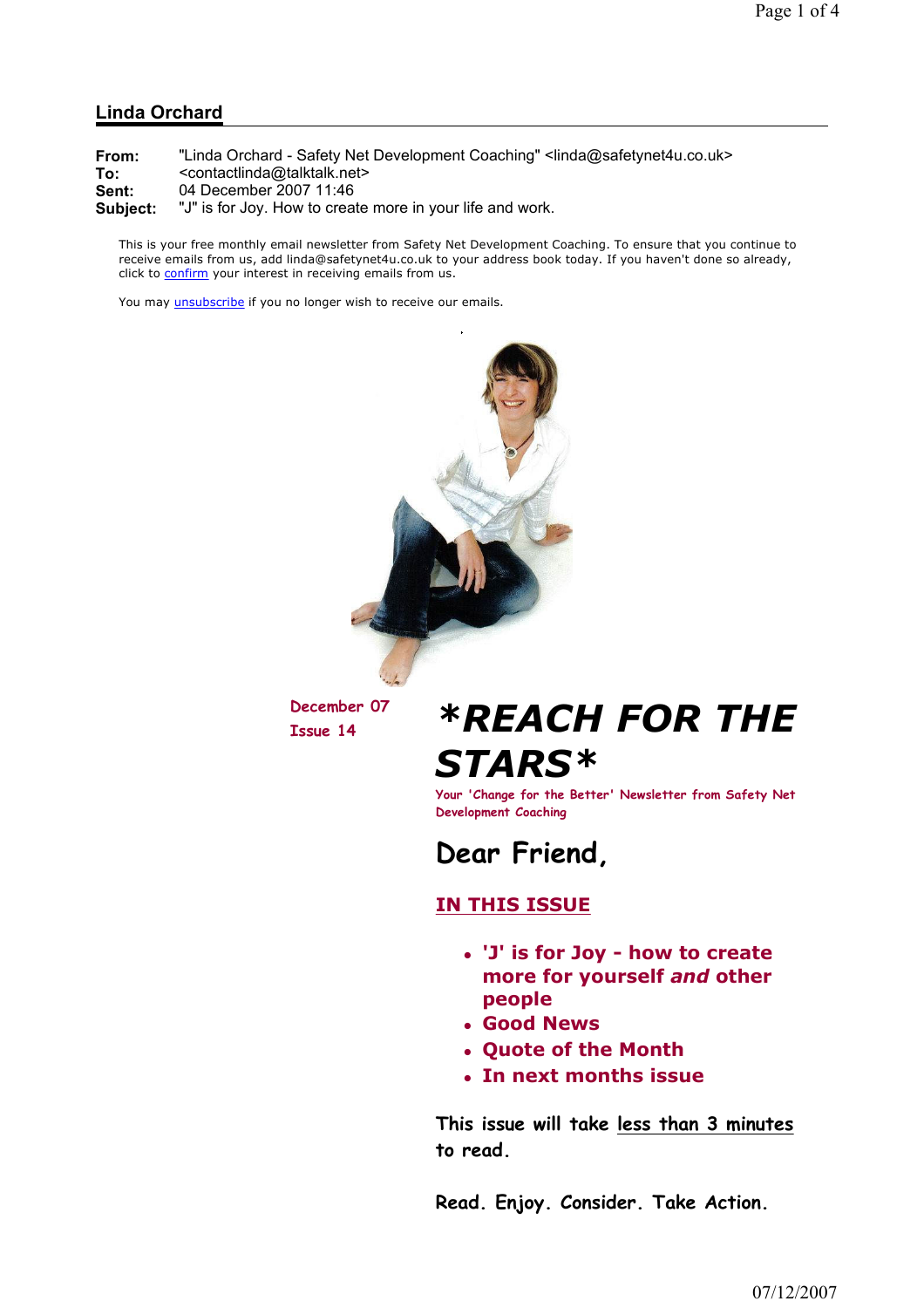#### Linda Orchard

From: "Linda Orchard - Safety Net Development Coaching" <linda@safetynet4u.co.uk> To: <contactlinda@talktalk.net>

Sent: 04 December 2007 11:46

Subject: "J" is for Joy. How to create more in your life and work.

This is your free monthly email newsletter from Safety Net Development Coaching. To ensure that you continue to receive emails from us, add linda@safetynet4u.co.uk to your address book today. If you haven't done so already, click to confirm your interest in receiving emails from us.

You may *unsubscribe* if you no longer wish to receive our emails.



December 07

## December 07  $*$ **REACH FOR THE** STARS\*

Your 'Change for the Better' Newsletter from Safety Net Development Coaching



### IN THIS ISSUE

- 'J' is for Joy how to create more for yourself and other people
- Good News
- Quote of the Month
- In next months issue

This issue will take less than 3 minutes to read.

Read. Enjoy. Consider. Take Action.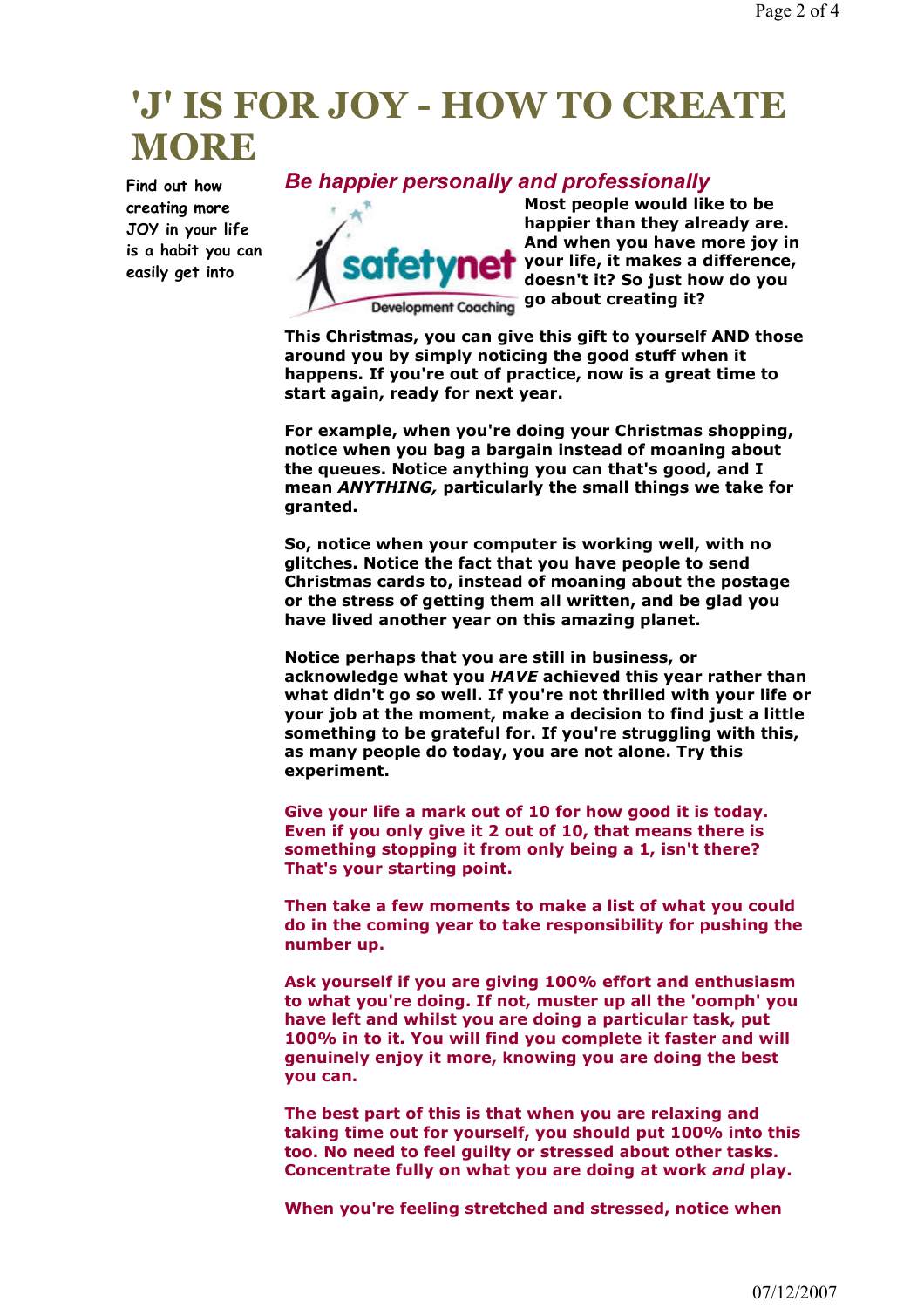### 'J' IS FOR JOY - HOW TO CREATE **MORE**

Find out how creating more JOY in your life is a habit you can easily get into

### Be happier personally and professionally



Most people would like to be happier than they already are. And when you have more joy in your life, it makes a difference, doesn't it? So just how do you go about creating it?

This Christmas, you can give this gift to yourself AND those around you by simply noticing the good stuff when it happens. If you're out of practice, now is a great time to start again, ready for next year.

For example, when you're doing your Christmas shopping, notice when you bag a bargain instead of moaning about the queues. Notice anything you can that's good, and I mean ANYTHING, particularly the small things we take for granted.

So, notice when your computer is working well, with no glitches. Notice the fact that you have people to send Christmas cards to, instead of moaning about the postage or the stress of getting them all written, and be glad you have lived another year on this amazing planet.

Notice perhaps that you are still in business, or acknowledge what you HAVE achieved this year rather than what didn't go so well. If you're not thrilled with your life or your job at the moment, make a decision to find just a little something to be grateful for. If you're struggling with this, as many people do today, you are not alone. Try this experiment.

Give your life a mark out of 10 for how good it is today. Even if you only give it 2 out of 10, that means there is something stopping it from only being a 1, isn't there? That's your starting point.

Then take a few moments to make a list of what you could do in the coming year to take responsibility for pushing the number up.

Ask yourself if you are giving 100% effort and enthusiasm to what you're doing. If not, muster up all the 'oomph' you have left and whilst you are doing a particular task, put 100% in to it. You will find you complete it faster and will genuinely enjoy it more, knowing you are doing the best you can.

The best part of this is that when you are relaxing and taking time out for yourself, you should put 100% into this too. No need to feel guilty or stressed about other tasks. Concentrate fully on what you are doing at work and play.

When you're feeling stretched and stressed, notice when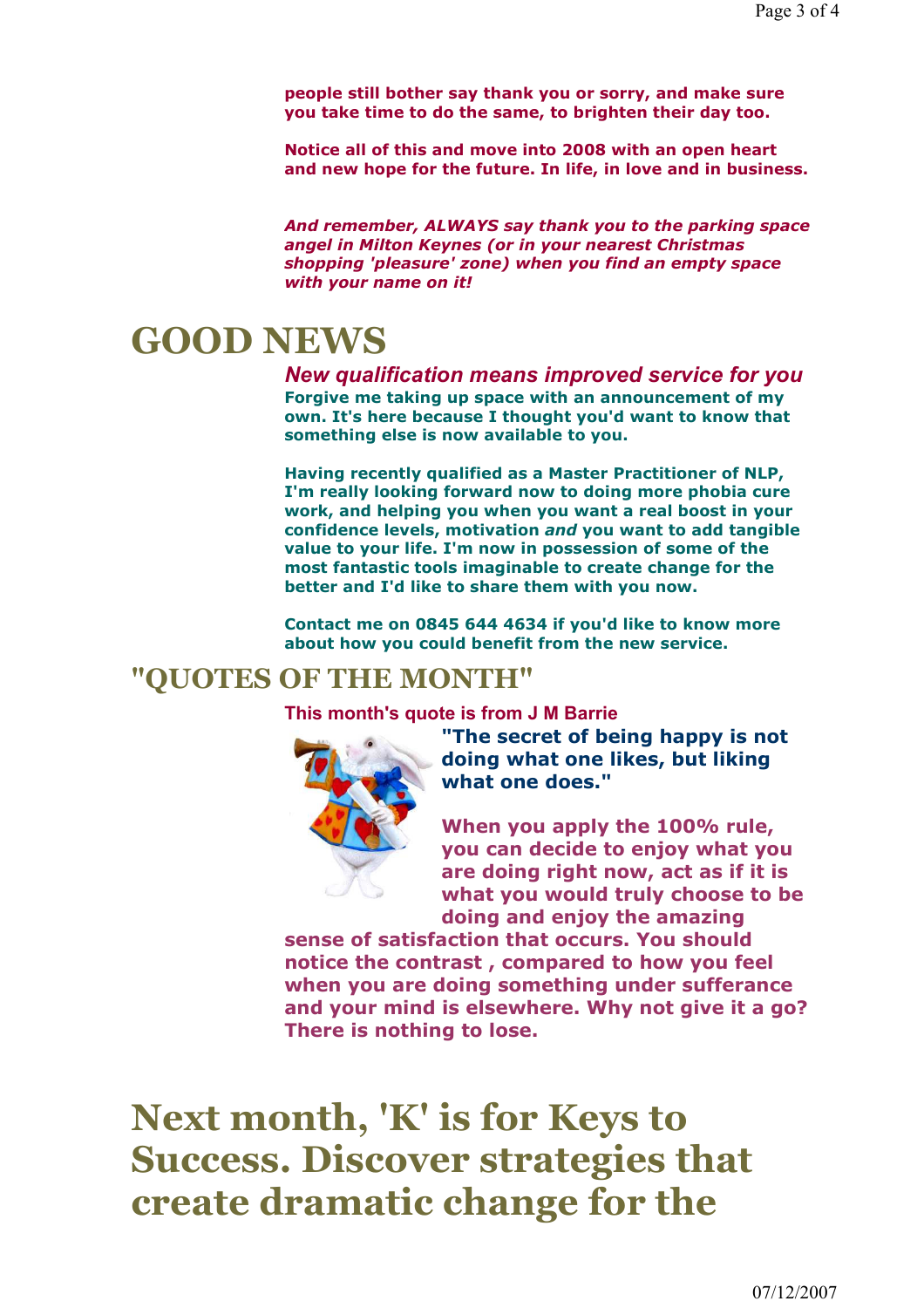people still bother say thank you or sorry, and make sure you take time to do the same, to brighten their day too.

Notice all of this and move into 2008 with an open heart and new hope for the future. In life, in love and in business.

And remember, ALWAYS say thank you to the parking space angel in Milton Keynes (or in your nearest Christmas shopping 'pleasure' zone) when you find an empty space with your name on it!

## GOOD NEWS

New qualification means improved service for you Forgive me taking up space with an announcement of my own. It's here because I thought you'd want to know that something else is now available to you.

Having recently qualified as a Master Practitioner of NLP, I'm really looking forward now to doing more phobia cure work, and helping you when you want a real boost in your confidence levels, motivation and you want to add tangible value to your life. I'm now in possession of some of the most fantastic tools imaginable to create change for the better and I'd like to share them with you now.

Contact me on 0845 644 4634 if you'd like to know more about how you could benefit from the new service.

### "QUOTES OF THE MONTH"

This month's quote is from J M Barrie



"The secret of being happy is not doing what one likes, but liking what one does."

When you apply the 100% rule, you can decide to enjoy what you are doing right now, act as if it is what you would truly choose to be doing and enjoy the amazing

sense of satisfaction that occurs. You should notice the contrast , compared to how you feel when you are doing something under sufferance and your mind is elsewhere. Why not give it a go? There is nothing to lose.

Next month, 'K' is for Keys to Success. Discover strategies that create dramatic change for the